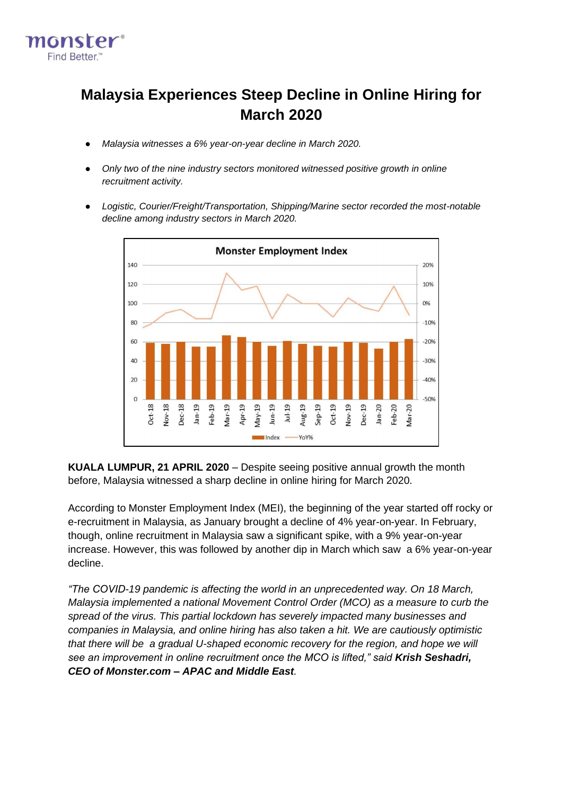

# **Malaysia Experiences Steep Decline in Online Hiring for March 2020**

- *Malaysia witnesses a 6% year-on-year decline in March 2020.*
- *Only two of the nine industry sectors monitored witnessed positive growth in online recruitment activity.*
- *Logistic, Courier/Freight/Transportation, Shipping/Marine sector recorded the most-notable decline among industry sectors in March 2020.*



**KUALA LUMPUR, 21 APRIL 2020** – Despite seeing positive annual growth the month before, Malaysia witnessed a sharp decline in online hiring for March 2020.

According to Monster Employment Index (MEI), the beginning of the year started off rocky or e-recruitment in Malaysia, as January brought a decline of 4% year-on-year. In February, though, online recruitment in Malaysia saw a significant spike, with a 9% year-on-year increase. However, this was followed by another dip in March which saw a 6% year-on-year decline.

*"The COVID-19 pandemic is affecting the world in an unprecedented way. On 18 March, Malaysia implemented a national Movement Control Order (MCO) as a measure to curb the spread of the virus. This partial lockdown has severely impacted many businesses and companies in Malaysia, and online hiring has also taken a hit. We are cautiously optimistic that there will be a gradual U-shaped economic recovery for the region, and hope we will see an improvement in online recruitment once the MCO is lifted," said Krish Seshadri, CEO of Monster.com – APAC and Middle East.*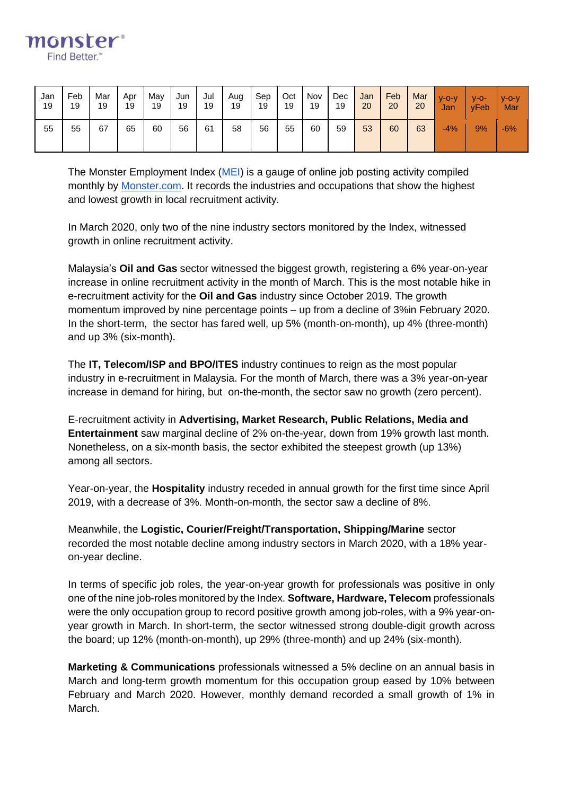

| Jan | Feb | Mar | Apr | Mav | Jun | Jul | Aug | Sep | Oct | Nov | Dec | Jan | Feb | Mar | $V - O - V$ | $V-O-$ | $V - O - V$ |
|-----|-----|-----|-----|-----|-----|-----|-----|-----|-----|-----|-----|-----|-----|-----|-------------|--------|-------------|
| 19  | 19  | 19  | 19  | 19  | 19  | 19  | 19  | 19  | 19  | 19  | 19  | 20  | 20  | 20  | Jan         | yFeb   | Mar         |
| 55  | 55  | 67  | 65  | 60  | 56  | 61  | 58  | 56  | 55  | 60  | 59  | 53  | 60  | 63  | $-4%$       | 9%     | $-6%$       |

The Monster Employment Index [\(MEI\)](https://www.monster.com.sg/employment-index/) is a gauge of online job posting activity compiled monthl[y](http://monster.com.sg/) by [Monster.com.](http://monster.com.sg/) It records the industries and occupations that show the highest and lowest growth in local recruitment activity.

In March 2020, only two of the nine industry sectors monitored by the Index, witnessed growth in online recruitment activity.

Malaysia's **Oil and Gas** sector witnessed the biggest growth, registering a 6% year-on-year increase in online recruitment activity in the month of March. This is the most notable hike in e-recruitment activity for the **Oil and Gas** industry since October 2019. The growth momentum improved by nine percentage points – up from a decline of 3%in February 2020. In the short-term, the sector has fared well, up 5% (month-on-month), up 4% (three-month) and up 3% (six-month).

The **IT, Telecom/ISP and BPO/ITES** industry continues to reign as the most popular industry in e-recruitment in Malaysia. For the month of March, there was a 3% year-on-year increase in demand for hiring, but on-the-month, the sector saw no growth (zero percent).

E-recruitment activity in **Advertising, Market Research, Public Relations, Media and Entertainment** saw marginal decline of 2% on-the-year, down from 19% growth last month. Nonetheless, on a six-month basis, the sector exhibited the steepest growth (up 13%) among all sectors.

Year-on-year, the **Hospitality** industry receded in annual growth for the first time since April 2019, with a decrease of 3%. Month-on-month, the sector saw a decline of 8%.

Meanwhile, the **Logistic, Courier/Freight/Transportation, Shipping/Marine** sector recorded the most notable decline among industry sectors in March 2020, with a 18% yearon-year decline.

In terms of specific job roles, the year-on-year growth for professionals was positive in only one of the nine job-roles monitored by the Index. **Software, Hardware, Telecom** professionals were the only occupation group to record positive growth among job-roles, with a 9% year-onyear growth in March. In short-term, the sector witnessed strong double-digit growth across the board; up 12% (month-on-month), up 29% (three-month) and up 24% (six-month).

**Marketing & Communications** professionals witnessed a 5% decline on an annual basis in March and long-term growth momentum for this occupation group eased by 10% between February and March 2020. However, monthly demand recorded a small growth of 1% in March.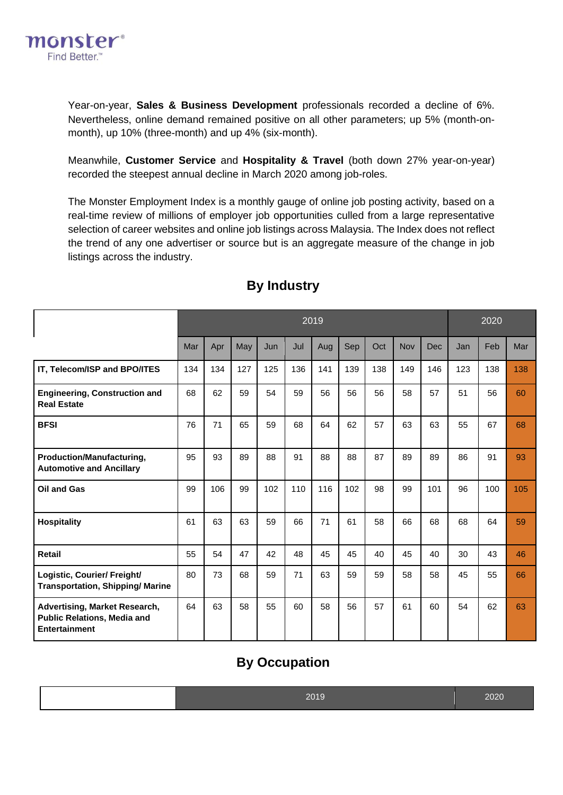

Year-on-year, **Sales & Business Development** professionals recorded a decline of 6%. Nevertheless, online demand remained positive on all other parameters; up 5% (month-onmonth), up 10% (three-month) and up 4% (six-month).

Meanwhile, **Customer Service** and **Hospitality & Travel** (both down 27% year-on-year) recorded the steepest annual decline in March 2020 among job-roles.

The Monster Employment Index is a monthly gauge of online job posting activity, based on a real-time review of millions of employer job opportunities culled from a large representative selection of career websites and online job listings across Malaysia. The Index does not reflect the trend of any one advertiser or source but is an aggregate measure of the change in job listings across the industry.

|                                                                                             | 2019 |     |     |     |     |     |     |     |     |     |     | 2020 |     |  |
|---------------------------------------------------------------------------------------------|------|-----|-----|-----|-----|-----|-----|-----|-----|-----|-----|------|-----|--|
|                                                                                             | Mar  | Apr | May | Jun | Jul | Aug | Sep | Oct | Nov | Dec | Jan | Feb  | Mar |  |
| IT, Telecom/ISP and BPO/ITES                                                                | 134  | 134 | 127 | 125 | 136 | 141 | 139 | 138 | 149 | 146 | 123 | 138  | 138 |  |
| <b>Engineering, Construction and</b><br><b>Real Estate</b>                                  | 68   | 62  | 59  | 54  | 59  | 56  | 56  | 56  | 58  | 57  | 51  | 56   | 60  |  |
| <b>BFSI</b>                                                                                 | 76   | 71  | 65  | 59  | 68  | 64  | 62  | 57  | 63  | 63  | 55  | 67   | 68  |  |
| Production/Manufacturing,<br><b>Automotive and Ancillary</b>                                | 95   | 93  | 89  | 88  | 91  | 88  | 88  | 87  | 89  | 89  | 86  | 91   | 93  |  |
| Oil and Gas                                                                                 | 99   | 106 | 99  | 102 | 110 | 116 | 102 | 98  | 99  | 101 | 96  | 100  | 105 |  |
| <b>Hospitality</b>                                                                          | 61   | 63  | 63  | 59  | 66  | 71  | 61  | 58  | 66  | 68  | 68  | 64   | 59  |  |
| <b>Retail</b>                                                                               | 55   | 54  | 47  | 42  | 48  | 45  | 45  | 40  | 45  | 40  | 30  | 43   | 46  |  |
| Logistic, Courier/ Freight/<br><b>Transportation, Shipping/ Marine</b>                      | 80   | 73  | 68  | 59  | 71  | 63  | 59  | 59  | 58  | 58  | 45  | 55   | 66  |  |
| <b>Advertising, Market Research,</b><br><b>Public Relations, Media and</b><br>Entertainment | 64   | 63  | 58  | 55  | 60  | 58  | 56  | 57  | 61  | 60  | 54  | 62   | 63  |  |

## **By Industry**

### **By Occupation**

| 2019 | 2020 |
|------|------|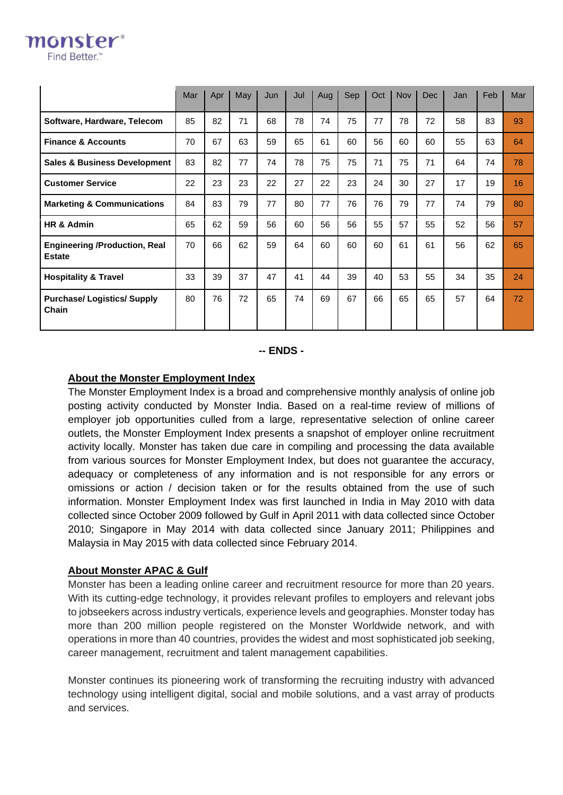|                                                       | Mar | Apr | May | Jun | Jul | Aug | Sep | Oct | <b>Nov</b> | <b>Dec</b> | Jan | Feb | Mar |
|-------------------------------------------------------|-----|-----|-----|-----|-----|-----|-----|-----|------------|------------|-----|-----|-----|
| Software, Hardware, Telecom                           | 85  | 82  | 71  | 68  | 78  | 74  | 75  | 77  | 78         | 72         | 58  | 83  | 93  |
| <b>Finance &amp; Accounts</b>                         | 70  | 67  | 63  | 59  | 65  | 61  | 60  | 56  | 60         | 60         | 55  | 63  | 64  |
| <b>Sales &amp; Business Development</b>               | 83  | 82  | 77  | 74  | 78  | 75  | 75  | 71  | 75         | 71         | 64  | 74  | 78  |
| <b>Customer Service</b>                               | 22  | 23  | 23  | 22  | 27  | 22  | 23  | 24  | 30         | 27         | 17  | 19  | 16  |
| <b>Marketing &amp; Communications</b>                 | 84  | 83  | 79  | 77  | 80  | 77  | 76  | 76  | 79         | 77         | 74  | 79  | 80  |
| HR & Admin                                            | 65  | 62  | 59  | 56  | 60  | 56  | 56  | 55  | 57         | 55         | 52  | 56  | 57  |
| <b>Engineering /Production, Real</b><br><b>Estate</b> | 70  | 66  | 62  | 59  | 64  | 60  | 60  | 60  | 61         | 61         | 56  | 62  | 65  |
| <b>Hospitality &amp; Travel</b>                       | 33  | 39  | 37  | 47  | 41  | 44  | 39  | 40  | 53         | 55         | 34  | 35  | 24  |
| <b>Purchase/Logistics/Supply</b><br>Chain             | 80  | 76  | 72  | 65  | 74  | 69  | 67  | 66  | 65         | 65         | 57  | 64  | 72  |

#### **-- ENDS -**

#### **About the Monster Employment Index**

monster® **Find Better** 

> The Monster Employment Index is a broad and comprehensive monthly analysis of online job posting activity conducted by Monster India. Based on a real-time review of millions of employer job opportunities culled from a large, representative selection of online career outlets, the Monster Employment Index presents a snapshot of employer online recruitment activity locally. Monster has taken due care in compiling and processing the data available from various sources for Monster Employment Index, but does not guarantee the accuracy, adequacy or completeness of any information and is not responsible for any errors or omissions or action / decision taken or for the results obtained from the use of such information. Monster Employment Index was first launched in India in May 2010 with data collected since October 2009 followed by Gulf in April 2011 with data collected since October 2010; Singapore in May 2014 with data collected since January 2011; Philippines and Malaysia in May 2015 with data collected since February 2014.

#### **About Monster APAC & Gulf**

Monster has been a leading online career and recruitment resource for more than 20 years. With its cutting-edge technology, it provides relevant profiles to employers and relevant jobs to jobseekers across industry verticals, experience levels and geographies. Monster today has more than 200 million people registered on the Monster Worldwide network, and with operations in more than 40 countries, provides the widest and most sophisticated job seeking, career management, recruitment and talent management capabilities.

Monster continues its pioneering work of transforming the recruiting industry with advanced technology using intelligent digital, social and mobile solutions, and a vast array of products and services.